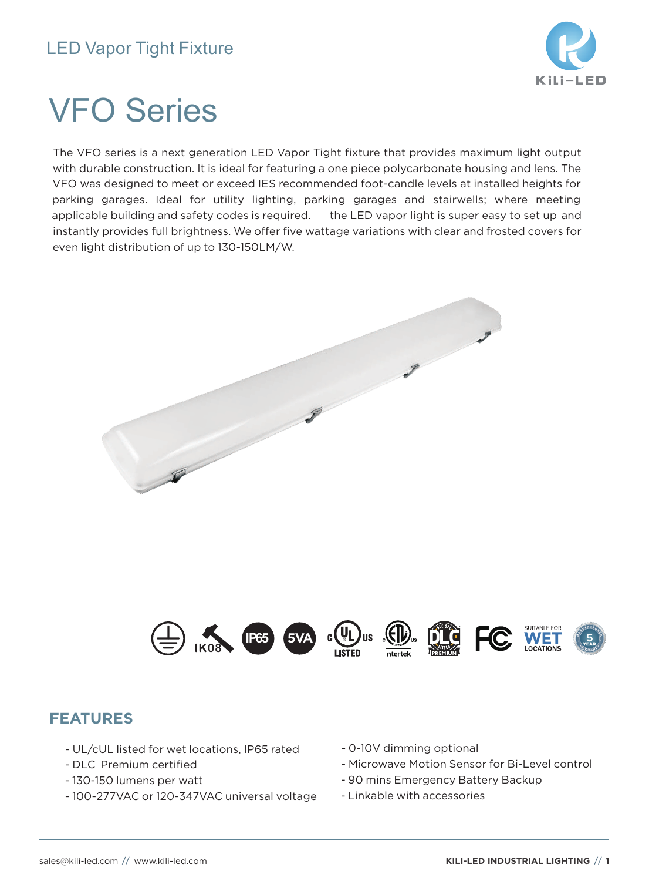

# VFO Series

The VFO series is a next generation LED Vapor Tight fixture that provides maximum light output with durable construction. It is ideal for featuring a one piece polycarbonate housing and lens. The VFO was designed to meet or exceed IES recommended foot-candle levels at installed heights for parking garages. Ideal for utility lighting, parking garages and stairwells; where meeting applicable building and safety codes is required. the LED vapor light is super easy to set up and instantly provides full brightness. We offer five wattage variations with clear and frosted covers for even light distribution of up to 130-150LM/W.



## **FEATURES**

- UL/cUL listed for wet locations, IP65 rated
- DLC Premium certified
- 130-150 lumens per watt
- 100-277VAC or 120-347VAC universal voltage
- 0-10V dimming optional
- Microwave Motion Sensor for Bi-Level control
- 90 mins Emergency Battery Backup
- Linkable with accessories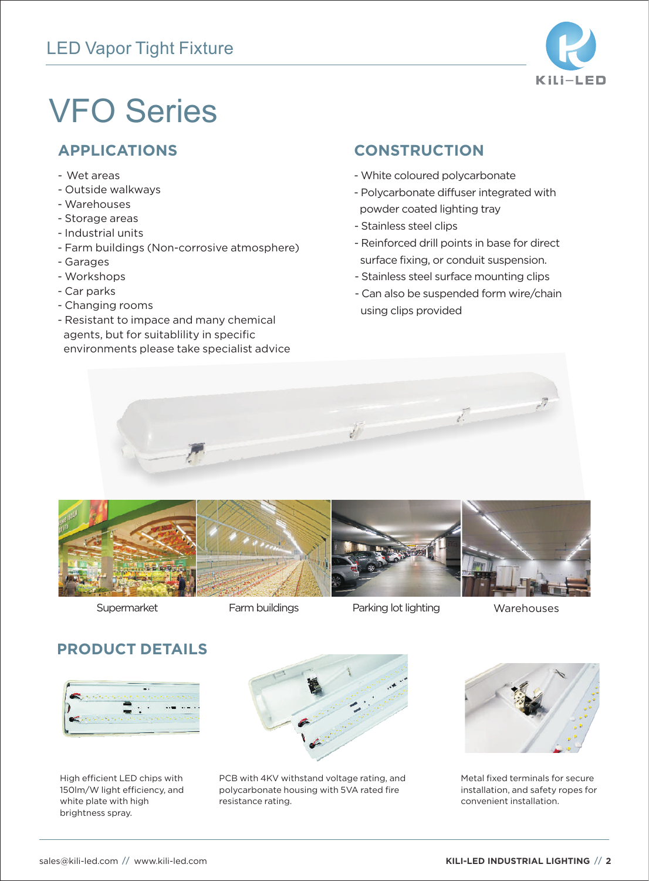## LED Vapor Tight Fixture



# VFO Series

- Wet areas
- Outside walkways
- Warehouses
- Storage areas
- Industrial units
- Farm buildings (Non-corrosive atmosphere)
- Garages
- Workshops
- Car parks
- Changing rooms
- Resistant to impace and many chemical agents, but for suitablility in specific environments please take specialist advice

## **APPLICATIONS CONSTRUCTION**

- White coloured polycarbonate
- Polycarbonate diffuser integrated with powder coated lighting tray
- Stainless steel clips
- Reinforced drill points in base for direct surface fixing, or conduit suspension.
- Stainless steel surface mounting clips
- Can also be suspended form wire/chain using clips provided





Parking lot lighting Supermarket Farm buildings Warehouses

## **PRODUCT DETAILS**



High efficient LED chips with 150lm/W light efficiency, and white plate with high brightness spray.



PCB with 4KV withstand voltage rating, and polycarbonate housing with 5VA rated fire resistance rating.



Metal fixed terminals for secure installation, and safety ropes for convenient installation.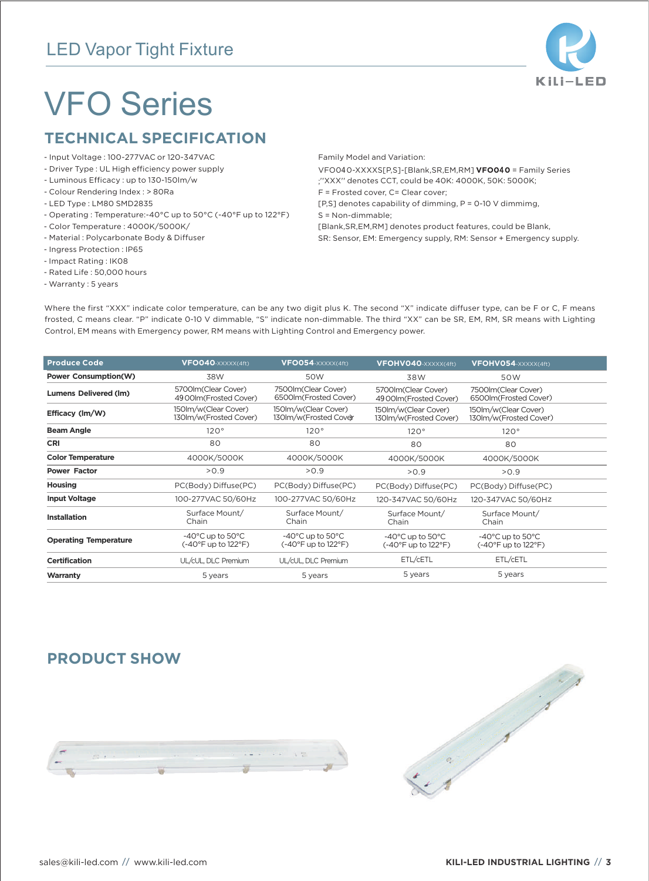## LED Vapor Tight Fixture



## VFO Series

### **TECHNICAL SPECIFICATION**

- Input Voltage : 100-277VAC or 120-347VAC
- Driver Type : UL High efficiency power supply
- Luminous Efficacy : up to 130-150lm/w
- Colour Rendering Index : > 80Ra
- LED Type : LM80 SMD2835
- Operating : Temperature:-40°C up to 50°C (-40°F up to 122°F)
- Color Temperature : 4000K/5000K/
- Material : Polycarbonate Body & Diffuser
- Ingress Protection : IP65
- Impact Rating : IK08
- Rated Life : 50,000 hours
- Warranty : 5 years

Family Model and Variation:

VFO040-XXXXS[P,S]-[Blank,SR,EM,RM] **VFO0**4**0** = Family Series ;''XXX'' denotes CCT, could be 40K: 4000K, 50K: 5000K; F = Frosted cover, C= Clear cover;

[P,S] denotes capability of dimming, P = 0-10 V dimmimg,

S = Non-dimmable;

[Blank,SR,EM,RM] denotes product features, could be Blank,

SR: Sensor, EM: Emergency supply, RM: Sensor + Emergency supply.

Where the first "XXX" indicate color temperature, can be any two digit plus K. The second "X" indicate diffuser type, can be F or C, F means frosted, C means clear. "P" indicate 0-10 V dimmable, "S" indicate non-dimmable. The third "XX" can be SR, EM, RM, SR means with Lighting Control, EM means with Emergency power, RM means with Lighting Control and Emergency power.

| <b>Produce Code</b>          | VFO040-XXXXX(4ft)                                            | VFO054-XXXXX(4ft)                                           | VFOHV040-XXXXX(4ft)                                                               | VFOHV054-XXXXX(4ft)                                                               |  |
|------------------------------|--------------------------------------------------------------|-------------------------------------------------------------|-----------------------------------------------------------------------------------|-----------------------------------------------------------------------------------|--|
| <b>Power Consumption(W)</b>  | 38W                                                          | 50W                                                         | 38W                                                                               | 50W                                                                               |  |
| <b>Lumens Delivered (Im)</b> | 5700lm(Clear Cover)<br>4900lm(Frosted Cover)                 | 7500lm(Clear Cover)<br>6500lm(Frosted Cover)                | 5700lm(Clear Cover)<br>4900lm(Frosted Cover)                                      | 7500lm(Clear Cover)<br>6500lm(Frosted Cover)                                      |  |
| Efficacy (lm/W)              | 150lm/w(Clear Cover)<br>130Im/w(Frosted Cover)               | 150lm/w(Clear Cover)<br>130Im/w(Frosted Cover               | 150lm/w(Clear Cover)<br>130Im/w(Frosted Cover)                                    | 150lm/w(Clear Cover)<br>130Im/w(Frosted Cover)                                    |  |
| <b>Beam Angle</b>            | 120°                                                         | 120°                                                        | 120°                                                                              | 120°                                                                              |  |
| <b>CRI</b>                   | 80                                                           | 80                                                          | 80                                                                                | 80                                                                                |  |
| <b>Color Temperature</b>     | 4000K/5000K                                                  | 4000K/5000K                                                 | 4000K/5000K                                                                       | 4000K/5000K                                                                       |  |
| <b>Power Factor</b>          | > 0.9                                                        | >0.9                                                        | >0.9                                                                              | >0.9                                                                              |  |
| Housing                      | PC(Body) Diffuse(PC)                                         | PC(Body) Diffuse(PC)                                        | PC(Body) Diffuse(PC)                                                              | PC(Body) Diffuse(PC)                                                              |  |
| <b>Input Voltage</b>         | 100-277VAC 50/60Hz                                           | 100-277VAC 50/60Hz                                          | 120-347VAC 50/60Hz                                                                | 120-347VAC 50/60Hz                                                                |  |
| <b>Installation</b>          | Surface Mount/<br>Chain                                      | Surface Mount/<br>Chain                                     | Surface Mount/<br>Chain                                                           | Surface Mount/<br>Chain                                                           |  |
| <b>Operating Temperature</b> | $-40^{\circ}$ C up to 50 $^{\circ}$ C<br>(-40°F up to 122°F) | $-40^{\circ}$ C up to $50^{\circ}$ C<br>(-40°F up to 122°F) | $-40^{\circ}$ C up to 50 $^{\circ}$ C<br>$(-40^{\circ}$ F up to 122 $^{\circ}$ F) | $-40^{\circ}$ C up to 50 $^{\circ}$ C<br>$(-40^{\circ}$ F up to 122 $^{\circ}$ F) |  |
| <b>Certification</b>         | UL/cUL, DLC Premium                                          | UL/cUL, DLC Premium                                         | ETL/CETL                                                                          | ETL/CETL                                                                          |  |
| Warranty                     | 5 years                                                      | 5 years                                                     | 5 years                                                                           | 5 years                                                                           |  |
|                              |                                                              |                                                             |                                                                                   |                                                                                   |  |

### **PRODUCT SHOW**



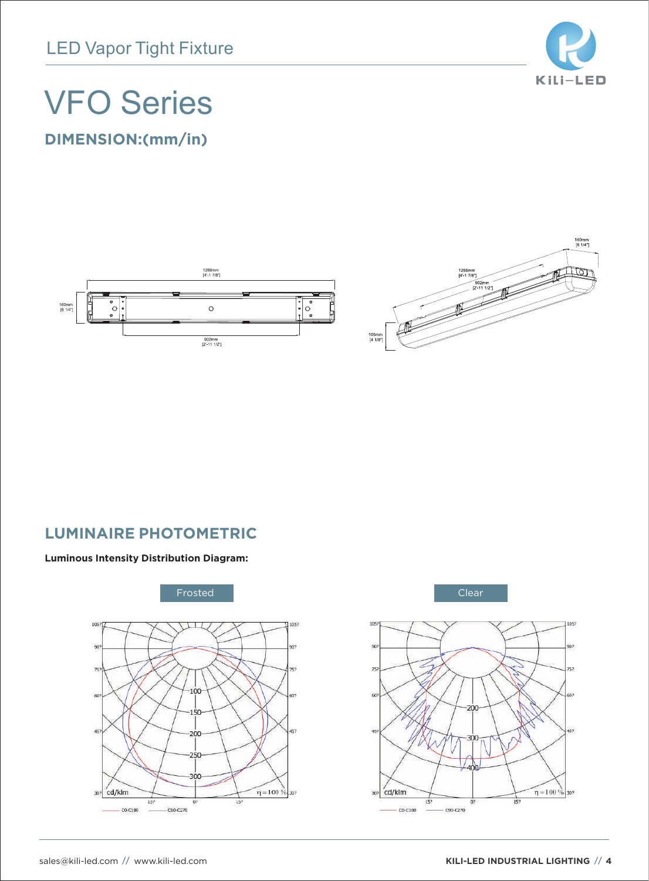

## VFO Series

**DIMENSION:(mm/in)**





## **LUMINAIRE PHOTOMETRIC**

#### **Luminous Intensity Distribution Diagram:**



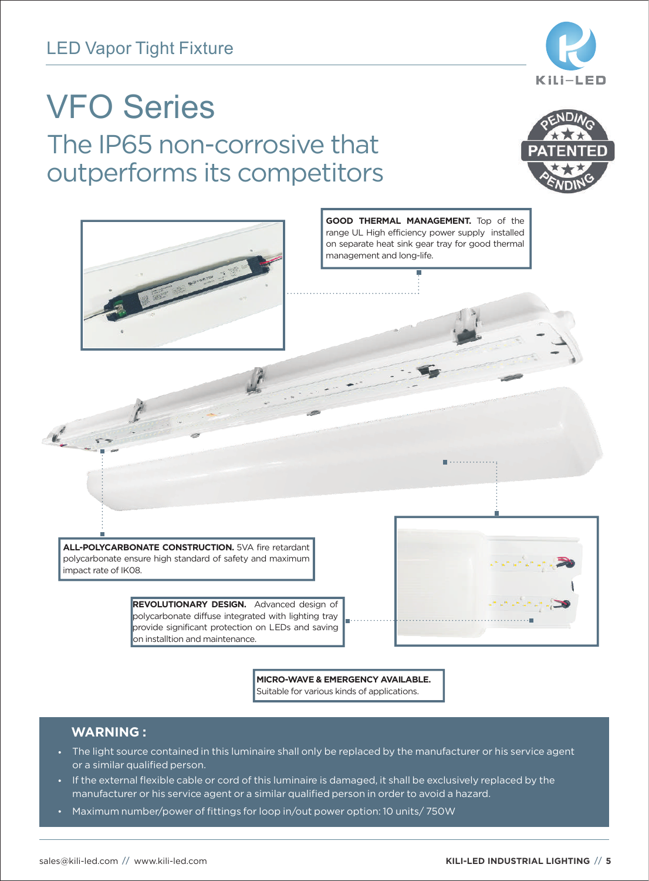

## The IP65 non-corrosive that outperforms its competitors VFO Series





**MICRO-WAVE & EMERGENCY AVAILABLE.** Suitable for various kinds of applications.

### **WARNING :**

- The light source contained in this luminaire shall only be replaced by the manufacturer or his service agent or a similar qualified person.
- If the external flexible cable or cord of this luminaire is damaged, it shall be exclusively replaced by the manufacturer or his service agent or a similar qualified person in order to avoid a hazard.
- Maximum number/power of fittings for loop in/out power option: 10 units/ 750W